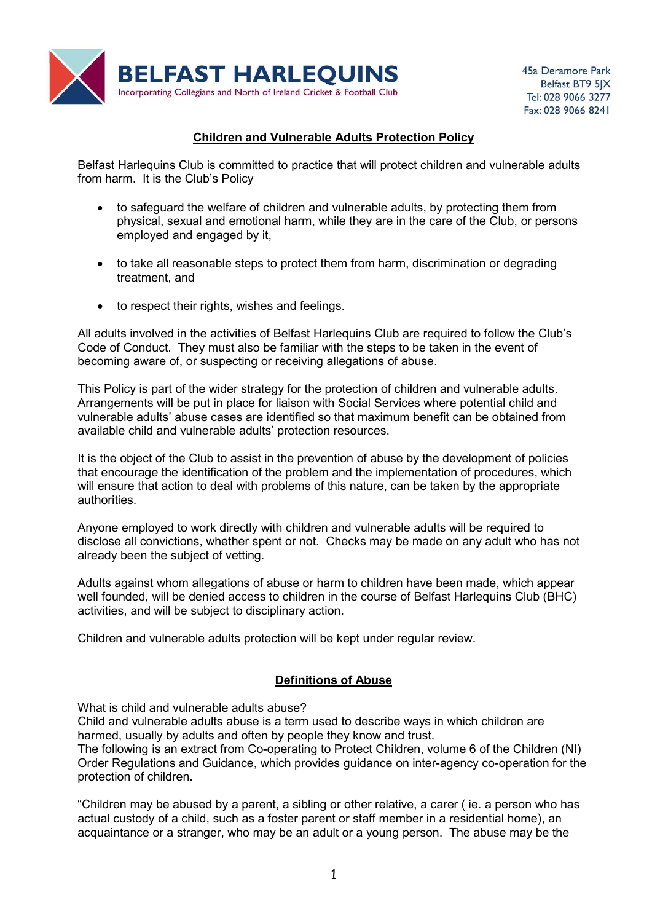

# Children and Vulnerable Adults Protection Policy

Belfast Harlequins Club is committed to practice that will protect children and vulnerable adults from harm. It is the Club's Policy

- to safeguard the welfare of children and vulnerable adults, by protecting them from physical, sexual and emotional harm, while they are in the care of the Club, or persons employed and engaged by it,
- to take all reasonable steps to protect them from harm, discrimination or degrading treatment, and
- to respect their rights, wishes and feelings.

All adults involved in the activities of Belfast Harlequins Club are required to follow the Club's Code of Conduct. They must also be familiar with the steps to be taken in the event of becoming aware of, or suspecting or receiving allegations of abuse.

This Policy is part of the wider strategy for the protection of children and vulnerable adults. Arrangements will be put in place for liaison with Social Services where potential child and vulnerable adults' abuse cases are identified so that maximum benefit can be obtained from available child and vulnerable adults' protection resources.

It is the object of the Club to assist in the prevention of abuse by the development of policies that encourage the identification of the problem and the implementation of procedures, which will ensure that action to deal with problems of this nature, can be taken by the appropriate authorities.

Anyone employed to work directly with children and vulnerable adults will be required to disclose all convictions, whether spent or not. Checks may be made on any adult who has not already been the subject of vetting.

Adults against whom allegations of abuse or harm to children have been made, which appear well founded, will be denied access to children in the course of Belfast Harlequins Club (BHC) activities, and will be subject to disciplinary action.

Children and vulnerable adults protection will be kept under regular review.

# Definitions of Abuse

What is child and vulnerable adults abuse?

Child and vulnerable adults abuse is a term used to describe ways in which children are harmed, usually by adults and often by people they know and trust.

The following is an extract from Co-operating to Protect Children, volume 6 of the Children (NI) Order Regulations and Guidance, which provides guidance on inter-agency co-operation for the protection of children.

"Children may be abused by a parent, a sibling or other relative, a carer ( ie. a person who has actual custody of a child, such as a foster parent or staff member in a residential home), an acquaintance or a stranger, who may be an adult or a young person. The abuse may be the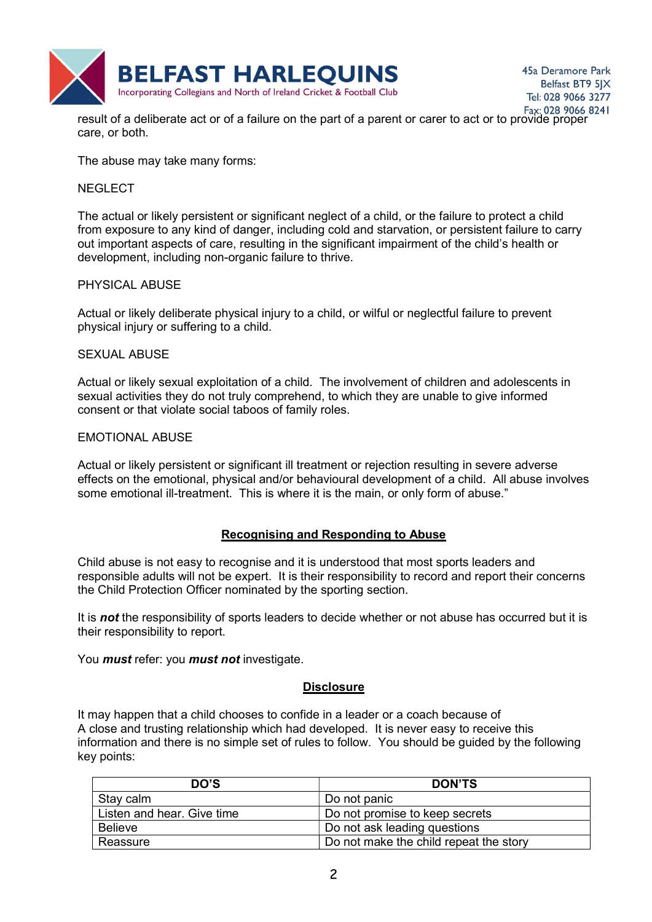

Fax: 028 9066 8241<br>result of a deliberate act or of a failure on the part of a parent or carer to act or to provide proper care, or both.

The abuse may take many forms:

### NEGLECT

The actual or likely persistent or significant neglect of a child, or the failure to protect a child from exposure to any kind of danger, including cold and starvation, or persistent failure to carry out important aspects of care, resulting in the significant impairment of the child's health or development, including non-organic failure to thrive.

## PHYSICAL ABUSE

Actual or likely deliberate physical injury to a child, or wilful or neglectful failure to prevent physical injury or suffering to a child.

## SEXUAL ABUSE

Actual or likely sexual exploitation of a child. The involvement of children and adolescents in sexual activities they do not truly comprehend, to which they are unable to give informed consent or that violate social taboos of family roles.

## EMOTIONAL ABUSE

Actual or likely persistent or significant ill treatment or rejection resulting in severe adverse effects on the emotional, physical and/or behavioural development of a child. All abuse involves some emotional ill-treatment. This is where it is the main, or only form of abuse."

# Recognising and Responding to Abuse

Child abuse is not easy to recognise and it is understood that most sports leaders and responsible adults will not be expert. It is their responsibility to record and report their concerns the Child Protection Officer nominated by the sporting section.

It is not the responsibility of sports leaders to decide whether or not abuse has occurred but it is their responsibility to report.

You *must* refer: you *must not* investigate.

# **Disclosure**

It may happen that a child chooses to confide in a leader or a coach because of A close and trusting relationship which had developed. It is never easy to receive this information and there is no simple set of rules to follow. You should be guided by the following key points:

| DO'S                       | <b>DON'TS</b>                          |
|----------------------------|----------------------------------------|
| Stay calm                  | Do not panic                           |
| Listen and hear. Give time | Do not promise to keep secrets         |
| <b>Believe</b>             | Do not ask leading questions           |
| Reassure                   | Do not make the child repeat the story |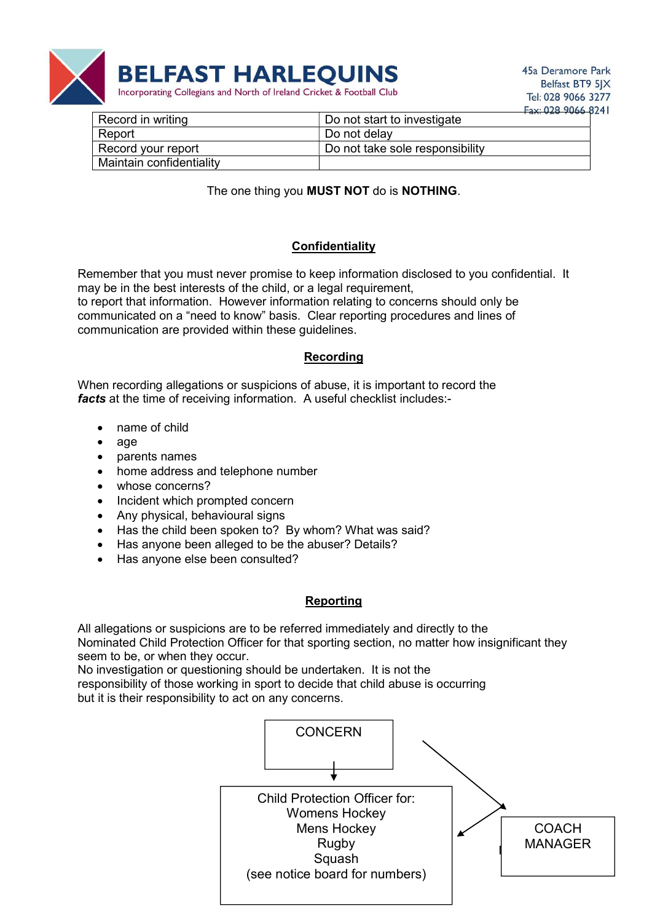

| Record in writing        | <b>EAX UZO ZUOD C</b><br>Do not start to investigate |
|--------------------------|------------------------------------------------------|
| Report                   | Do not delay                                         |
| Record your report       | Do not take sole responsibility                      |
| Maintain confidentiality |                                                      |

# The one thing you MUST NOT do is NOTHING.

# **Confidentiality**

Remember that you must never promise to keep information disclosed to you confidential. It may be in the best interests of the child, or a legal requirement, to report that information. However information relating to concerns should only be communicated on a "need to know" basis. Clear reporting procedures and lines of communication are provided within these guidelines.

# Recording

When recording allegations or suspicions of abuse, it is important to record the facts at the time of receiving information. A useful checklist includes:-

- name of child
- $\bullet$  age
- parents names
- home address and telephone number
- whose concerns?
- Incident which prompted concern
- Any physical, behavioural signs
- Has the child been spoken to? By whom? What was said?
- Has anyone been alleged to be the abuser? Details?
- Has anyone else been consulted?

#### Reporting

All allegations or suspicions are to be referred immediately and directly to the Nominated Child Protection Officer for that sporting section, no matter how insignificant they seem to be, or when they occur.

No investigation or questioning should be undertaken. It is not the responsibility of those working in sport to decide that child abuse is occurring but it is their responsibility to act on any concerns.

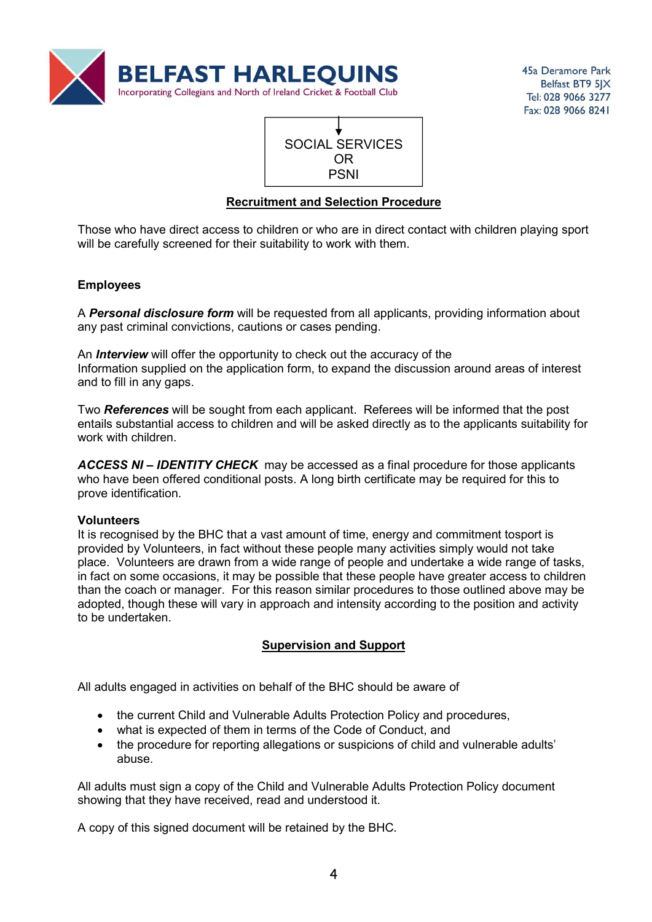



# Recruitment and Selection Procedure

Those who have direct access to children or who are in direct contact with children playing sport will be carefully screened for their suitability to work with them.

# **Employees**

A **Personal disclosure form** will be requested from all applicants, providing information about any past criminal convictions, cautions or cases pending.

An **Interview** will offer the opportunity to check out the accuracy of the Information supplied on the application form, to expand the discussion around areas of interest and to fill in any gaps.

Two References will be sought from each applicant. Referees will be informed that the post entails substantial access to children and will be asked directly as to the applicants suitability for work with children.

ACCESS NI – IDENTITY CHECK may be accessed as a final procedure for those applicants who have been offered conditional posts. A long birth certificate may be required for this to prove identification.

#### Volunteers

It is recognised by the BHC that a vast amount of time, energy and commitment tosport is provided by Volunteers, in fact without these people many activities simply would not take place. Volunteers are drawn from a wide range of people and undertake a wide range of tasks, in fact on some occasions, it may be possible that these people have greater access to children than the coach or manager. For this reason similar procedures to those outlined above may be adopted, though these will vary in approach and intensity according to the position and activity to be undertaken.

# Supervision and Support

All adults engaged in activities on behalf of the BHC should be aware of

- the current Child and Vulnerable Adults Protection Policy and procedures,
- what is expected of them in terms of the Code of Conduct, and
- the procedure for reporting allegations or suspicions of child and vulnerable adults' abuse.

All adults must sign a copy of the Child and Vulnerable Adults Protection Policy document showing that they have received, read and understood it.

A copy of this signed document will be retained by the BHC.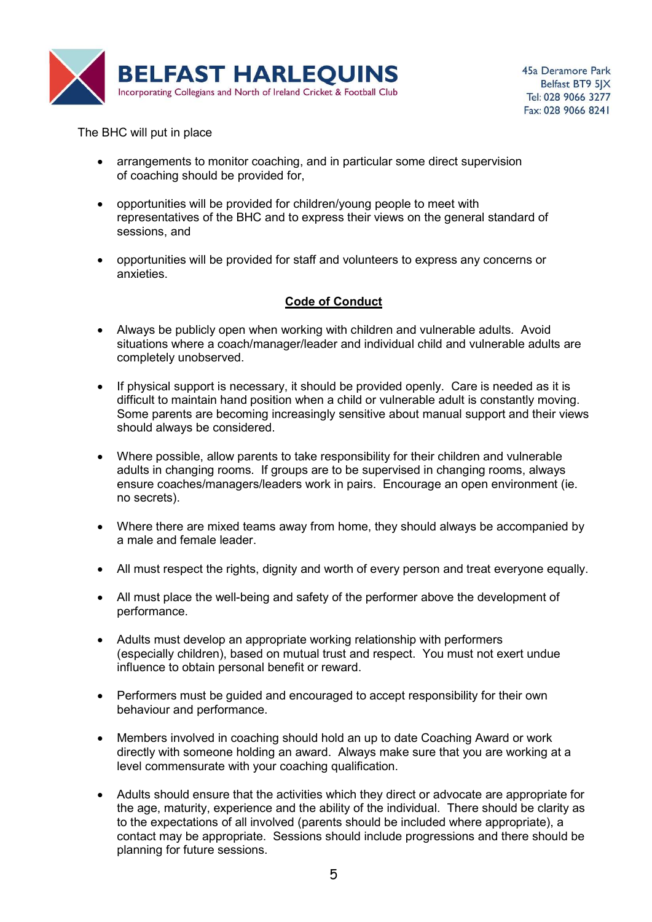

The BHC will put in place

- arrangements to monitor coaching, and in particular some direct supervision of coaching should be provided for,
- opportunities will be provided for children/young people to meet with representatives of the BHC and to express their views on the general standard of sessions, and
- opportunities will be provided for staff and volunteers to express any concerns or anxieties.

# Code of Conduct

- Always be publicly open when working with children and vulnerable adults. Avoid situations where a coach/manager/leader and individual child and vulnerable adults are completely unobserved.
- If physical support is necessary, it should be provided openly. Care is needed as it is difficult to maintain hand position when a child or vulnerable adult is constantly moving. Some parents are becoming increasingly sensitive about manual support and their views should always be considered.
- Where possible, allow parents to take responsibility for their children and vulnerable adults in changing rooms. If groups are to be supervised in changing rooms, always ensure coaches/managers/leaders work in pairs. Encourage an open environment (ie. no secrets).
- Where there are mixed teams away from home, they should always be accompanied by a male and female leader.
- All must respect the rights, dignity and worth of every person and treat everyone equally.
- All must place the well-being and safety of the performer above the development of performance.
- Adults must develop an appropriate working relationship with performers (especially children), based on mutual trust and respect. You must not exert undue influence to obtain personal benefit or reward.
- Performers must be guided and encouraged to accept responsibility for their own behaviour and performance.
- Members involved in coaching should hold an up to date Coaching Award or work directly with someone holding an award. Always make sure that you are working at a level commensurate with your coaching qualification.
- Adults should ensure that the activities which they direct or advocate are appropriate for the age, maturity, experience and the ability of the individual. There should be clarity as to the expectations of all involved (parents should be included where appropriate), a contact may be appropriate. Sessions should include progressions and there should be planning for future sessions.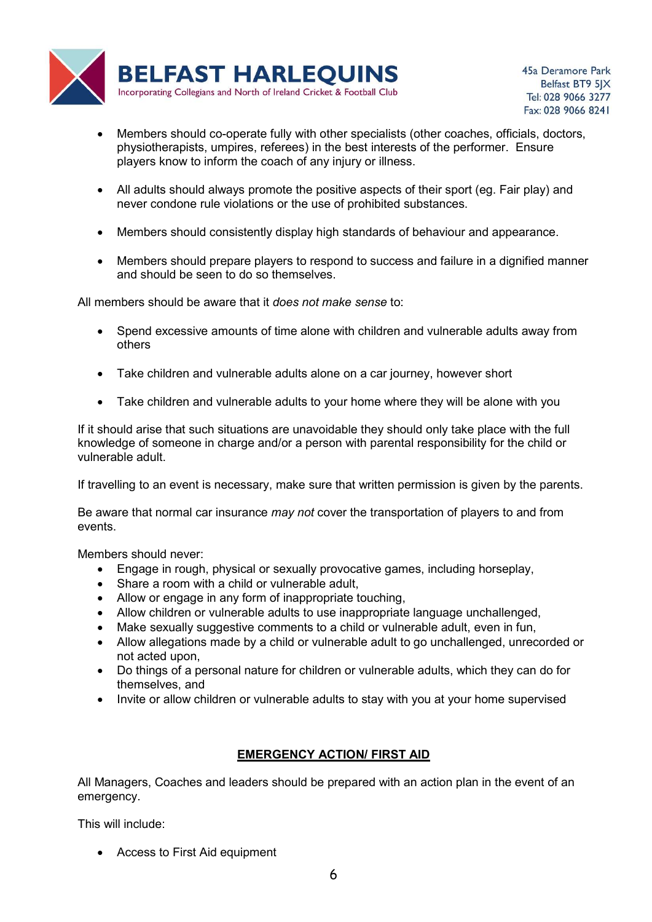

- Members should co-operate fully with other specialists (other coaches, officials, doctors, physiotherapists, umpires, referees) in the best interests of the performer. Ensure players know to inform the coach of any injury or illness.
- All adults should always promote the positive aspects of their sport (eg. Fair play) and never condone rule violations or the use of prohibited substances.
- Members should consistently display high standards of behaviour and appearance.
- Members should prepare players to respond to success and failure in a dignified manner and should be seen to do so themselves.

All members should be aware that it does not make sense to:

- Spend excessive amounts of time alone with children and vulnerable adults away from others
- Take children and vulnerable adults alone on a car journey, however short
- Take children and vulnerable adults to your home where they will be alone with you

If it should arise that such situations are unavoidable they should only take place with the full knowledge of someone in charge and/or a person with parental responsibility for the child or vulnerable adult.

If travelling to an event is necessary, make sure that written permission is given by the parents.

Be aware that normal car insurance *may not* cover the transportation of players to and from events.

Members should never:

- Engage in rough, physical or sexually provocative games, including horseplay,
- Share a room with a child or vulnerable adult.
- Allow or engage in any form of inappropriate touching,
- Allow children or vulnerable adults to use inappropriate language unchallenged,
- Make sexually suggestive comments to a child or vulnerable adult, even in fun,
- Allow allegations made by a child or vulnerable adult to go unchallenged, unrecorded or not acted upon,
- Do things of a personal nature for children or vulnerable adults, which they can do for themselves, and
- Invite or allow children or vulnerable adults to stay with you at your home supervised

# EMERGENCY ACTION/ FIRST AID

All Managers, Coaches and leaders should be prepared with an action plan in the event of an emergency.

This will include:

Access to First Aid equipment